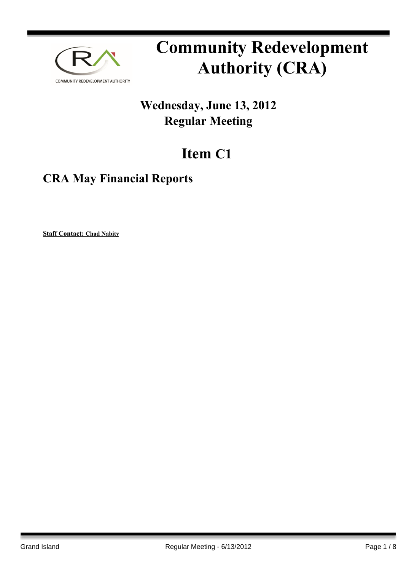

# **Community Redevelopment Authority (CRA)**

## **Wednesday, June 13, 2012 Regular Meeting**

## **Item C1**

### **CRA May Financial Reports**

**Staff Contact: Chad Nabity**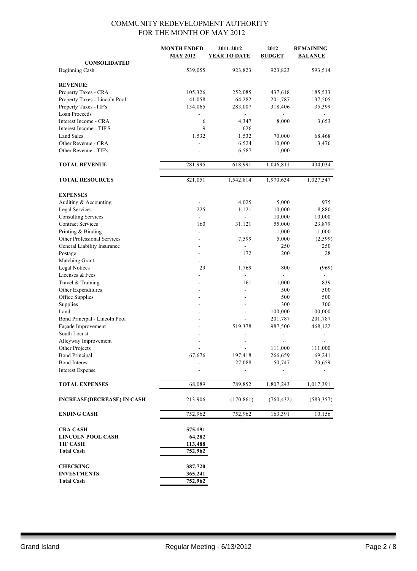|                                               | <b>MONTH ENDED</b><br><b>MAY 2012</b> | 2011-2012<br><b>YEAR TO DATE</b> | 2012<br><b>BUDGET</b> | <b>REMAINING</b><br><b>BALANCE</b> |
|-----------------------------------------------|---------------------------------------|----------------------------------|-----------------------|------------------------------------|
| <b>CONSOLIDATED</b><br><b>Beginning Cash</b>  | 539,055                               | 923,823                          | 923,823               | 593,514                            |
|                                               |                                       |                                  |                       |                                    |
| <b>REVENUE:</b>                               |                                       |                                  |                       |                                    |
| Property Taxes - CRA                          | 105,326                               | 252,085                          | 437,618               | 185,533                            |
| Property Taxes - Lincoln Pool                 | 41,058                                | 64,282                           | 201,787               | 137,505                            |
| Property Taxes -TIF's                         | 134,065                               | 283,007                          | 318,406               | 35,399                             |
| <b>Loan Proceeds</b>                          |                                       |                                  |                       |                                    |
| Interest Income - CRA                         | 6                                     | 4,347                            | 8,000                 | 3,653                              |
| Interest Income - TIF'S                       | 9                                     | 626                              |                       |                                    |
| <b>Land Sales</b>                             | 1,532                                 | 1,532                            | 70,000                | 68,468                             |
| Other Revenue - CRA                           | $\overline{a}$                        | 6,524                            | 10,000                | 3,476                              |
| Other Revenue - TIF's                         |                                       | 6,587                            | 1,000                 |                                    |
| <b>TOTAL REVENUE</b>                          | 281,995                               | 618,991                          | 1,046,811             | 434,034                            |
|                                               |                                       |                                  |                       |                                    |
| <b>TOTAL RESOURCES</b>                        | 821,051                               | 1,542,814                        | 1,970,634             | 1,027,547                          |
| <b>EXPENSES</b>                               |                                       |                                  |                       |                                    |
| Auditing & Accounting                         |                                       | 4,025                            | 5,000                 | 975                                |
| Legal Services                                | 225                                   | 1,121                            | 10,000                | 8,880                              |
| <b>Consulting Services</b>                    | $\blacksquare$                        | $\overline{a}$                   | 10,000                | 10,000                             |
| <b>Contract Services</b>                      | 160                                   | 31,121                           | 55,000                | 23,879                             |
| Printing & Binding                            | $\sim$                                | $\overline{\phantom{a}}$         | 1,000                 | 1,000                              |
| Other Professional Services                   |                                       | 7,599                            | 5,000                 | (2,599)                            |
| General Liability Insurance                   |                                       |                                  | 250                   | 250                                |
| Postage                                       | $\overline{a}$                        | 172                              | 200                   | 28                                 |
| Matching Grant                                |                                       |                                  | $\blacksquare$        |                                    |
| <b>Legal Notices</b>                          | 29                                    | 1,769                            | 800                   | (969)                              |
| Licenses & Fees                               |                                       |                                  | $\overline{a}$        |                                    |
| Travel & Training                             | ۰                                     | 161                              | 1,000                 | 839                                |
| Other Expenditures                            |                                       |                                  | 500                   | 500                                |
| Office Supplies                               |                                       |                                  | 500                   | 500                                |
| Supplies                                      |                                       |                                  | 300                   | 300                                |
| Land                                          |                                       | L,                               | 100,000               | 100,000                            |
| Bond Principal - Lincoln Pool                 |                                       |                                  | 201,787               | 201,787                            |
| Façade Improvement                            |                                       | 519,378                          | 987,500               | 468,122                            |
| South Locust                                  |                                       |                                  |                       |                                    |
| Alleyway Improvement                          |                                       |                                  |                       |                                    |
| Other Projects                                |                                       |                                  | 111,000               | 111,000                            |
| <b>Bond Principal</b><br><b>Bond Interest</b> | 67,676                                | 197,418                          | 266,659               | 69,241                             |
| <b>Interest Expense</b>                       |                                       | 27,088                           | 50,747                | 23,659                             |
|                                               |                                       |                                  |                       |                                    |
| <b>TOTAL EXPENSES</b>                         | 68,089                                | 789,852                          | 1,807,243             | 1,017,391                          |
| <b>INCREASE(DECREASE) IN CASH</b>             | 213,906                               | (170, 861)                       | (760, 432)            | (583, 357)                         |
| <b>ENDING CASH</b>                            | 752,962                               | 752,962                          | 163,391               | 10,156                             |
| <b>CRA CASH</b>                               | 575,191                               |                                  |                       |                                    |
| <b>LINCOLN POOL CASH</b>                      | 64,282                                |                                  |                       |                                    |
| <b>TIF CASH</b>                               | 113,488                               |                                  |                       |                                    |
| <b>Total Cash</b>                             | 752,962                               |                                  |                       |                                    |
|                                               |                                       |                                  |                       |                                    |
| <b>CHECKING</b>                               | 387,720                               |                                  |                       |                                    |
| <b>INVESTMENTS</b>                            | 365,241                               |                                  |                       |                                    |
| <b>Total Cash</b>                             | 752,962                               |                                  |                       |                                    |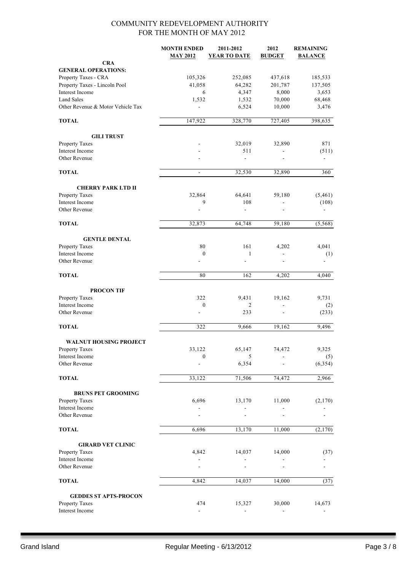|                                                  | <b>MONTH ENDED</b><br><b>MAY 2012</b> | 2011-2012<br><b>YEAR TO DATE</b> | 2012<br><b>BUDGET</b>    | <b>REMAINING</b><br><b>BALANCE</b> |
|--------------------------------------------------|---------------------------------------|----------------------------------|--------------------------|------------------------------------|
| <b>CRA</b>                                       |                                       |                                  |                          |                                    |
| <b>GENERAL OPERATIONS:</b>                       |                                       |                                  |                          |                                    |
| Property Taxes - CRA                             | 105,326                               | 252,085                          | 437,618                  | 185,533                            |
| Property Taxes - Lincoln Pool<br>Interest Income | 41,058<br>6                           | 64,282<br>4,347                  | 201,787<br>8,000         | 137,505<br>3,653                   |
| <b>Land Sales</b>                                | 1,532                                 | 1,532                            | 70,000                   | 68,468                             |
| Other Revenue & Motor Vehicle Tax                |                                       | 6,524                            | 10,000                   | 3,476                              |
| <b>TOTAL</b>                                     | 147,922                               | 328,770                          | 727,405                  | 398,635                            |
| <b>GILI TRUST</b>                                |                                       |                                  |                          |                                    |
| Property Taxes                                   |                                       | 32,019                           | 32,890                   | 871                                |
| Interest Income                                  |                                       | 511                              |                          | (511)                              |
| Other Revenue                                    |                                       | $\overline{\phantom{a}}$         | $\overline{\phantom{0}}$ |                                    |
| <b>TOTAL</b>                                     | $\blacksquare$                        | 32,530                           | 32,890                   | 360                                |
| <b>CHERRY PARK LTD II</b>                        |                                       |                                  |                          |                                    |
| Property Taxes                                   | 32,864                                | 64,641                           | 59,180                   | (5, 461)                           |
| Interest Income                                  | 9                                     | 108                              |                          | (108)                              |
| Other Revenue                                    |                                       | $\blacksquare$                   |                          |                                    |
| <b>TOTAL</b>                                     | 32,873                                | 64,748                           | 59,180                   | (5, 568)                           |
| <b>GENTLE DENTAL</b>                             |                                       |                                  |                          |                                    |
| Property Taxes                                   | 80                                    | 161                              | 4,202                    | 4,041                              |
| Interest Income                                  | $\boldsymbol{0}$                      | $\mathbf{1}$                     |                          | (1)                                |
| Other Revenue                                    |                                       | $\overline{a}$                   |                          |                                    |
| <b>TOTAL</b>                                     | 80                                    | 162                              | 4,202                    | 4,040                              |
| <b>PROCON TIF</b>                                |                                       |                                  |                          |                                    |
| Property Taxes                                   | 322                                   | 9,431                            | 19,162                   | 9,731                              |
| Interest Income<br>Other Revenue                 | $\boldsymbol{0}$                      | 2<br>233                         | ä,                       | (2)                                |
|                                                  |                                       |                                  |                          | (233)                              |
| <b>TOTAL</b>                                     | 322                                   | 9,666                            | 19,162                   | 9,496                              |
| <b>WALNUT HOUSING PROJECT</b>                    |                                       |                                  |                          |                                    |
| Property Taxes                                   | 33,122                                | 65,147                           | 74,472                   | 9,325                              |
| Interest Income                                  | $\boldsymbol{0}$                      | $\sqrt{5}$                       |                          | (5)                                |
| Other Revenue                                    |                                       | 6,354                            |                          | (6, 354)                           |
| <b>TOTAL</b>                                     | 33,122                                | 71,506                           | 74,472                   | 2,966                              |
| <b>BRUNS PET GROOMING</b>                        |                                       |                                  |                          |                                    |
| Property Taxes                                   | 6,696                                 | 13,170                           | 11,000                   | (2,170)                            |
| Interest Income                                  |                                       |                                  |                          |                                    |
| Other Revenue                                    |                                       |                                  |                          |                                    |
| <b>TOTAL</b>                                     | 6,696                                 | 13,170                           | 11,000                   | (2,170)                            |
| <b>GIRARD VET CLINIC</b>                         |                                       |                                  |                          |                                    |
| Property Taxes                                   | 4,842                                 | 14,037                           | 14,000                   | (37)                               |
| Interest Income                                  |                                       |                                  |                          |                                    |
| Other Revenue                                    |                                       |                                  |                          |                                    |
| <b>TOTAL</b>                                     | 4,842                                 | 14,037                           | 14,000                   | (37)                               |
| <b>GEDDES ST APTS-PROCON</b>                     |                                       |                                  |                          |                                    |
| Property Taxes                                   | 474                                   | 15,327                           | 30,000                   | 14,673                             |
| Interest Income                                  | ÷,                                    |                                  |                          |                                    |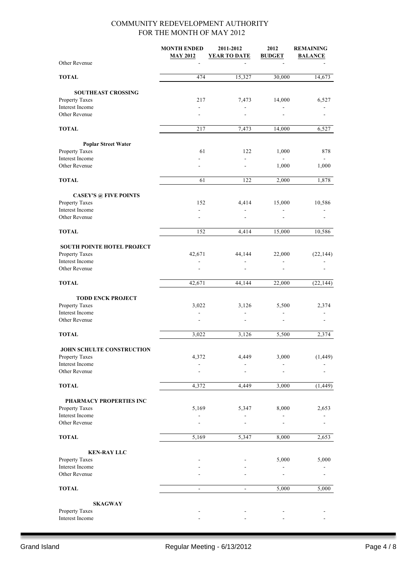|                                            | <b>MONTH ENDED</b><br><b>MAY 2012</b> | 2011-2012<br><b>YEAR TO DATE</b> | 2012<br><b>BUDGET</b> | <b>REMAINING</b><br><b>BALANCE</b> |
|--------------------------------------------|---------------------------------------|----------------------------------|-----------------------|------------------------------------|
| Other Revenue                              |                                       |                                  |                       |                                    |
| <b>TOTAL</b>                               | 474                                   | 15,327                           | 30,000                | 14,673                             |
| <b>SOUTHEAST CROSSING</b>                  |                                       |                                  |                       |                                    |
| Property Taxes                             | 217                                   | 7,473                            | 14,000                | 6,527                              |
| Interest Income                            |                                       | $\overline{a}$                   |                       |                                    |
| Other Revenue                              |                                       |                                  |                       |                                    |
| <b>TOTAL</b>                               | 217                                   | 7,473                            | 14,000                | 6,527                              |
| <b>Poplar Street Water</b>                 |                                       |                                  |                       |                                    |
| Property Taxes                             | 61                                    | 122                              | 1,000                 | 878                                |
| Interest Income<br>Other Revenue           |                                       | $\overline{\phantom{a}}$         | 1,000                 | 1,000                              |
|                                            |                                       |                                  |                       |                                    |
| <b>TOTAL</b>                               | 61                                    | 122                              | 2,000                 | 1,878                              |
| <b>CASEY'S @ FIVE POINTS</b>               |                                       |                                  |                       |                                    |
| Property Taxes                             | 152                                   | 4,414                            | 15,000                | 10,586                             |
| Interest Income<br>Other Revenue           |                                       |                                  |                       |                                    |
| <b>TOTAL</b>                               | 152                                   | 4,414                            | 15,000                | 10,586                             |
|                                            |                                       |                                  |                       |                                    |
| <b>SOUTH POINTE HOTEL PROJECT</b>          |                                       |                                  |                       |                                    |
| Property Taxes                             | 42,671                                | 44,144                           | 22,000                | (22, 144)                          |
| Interest Income<br>Other Revenue           |                                       | $\blacksquare$                   | $\overline{a}$        |                                    |
| <b>TOTAL</b>                               | 42,671                                | 44,144                           | 22,000                | (22, 144)                          |
|                                            |                                       |                                  |                       |                                    |
| <b>TODD ENCK PROJECT</b><br>Property Taxes | 3,022                                 | 3,126                            | 5,500                 | 2,374                              |
| <b>Interest Income</b>                     |                                       |                                  |                       |                                    |
| Other Revenue                              |                                       |                                  |                       |                                    |
| <b>TOTAL</b>                               | 3,022                                 | 3,126                            | 5,500                 | 2,374                              |
| JOHN SCHULTE CONSTRUCTION                  |                                       |                                  |                       |                                    |
| Property Taxes                             | 4,372                                 | 4,449                            | 3,000                 | (1, 449)                           |
| Interest Income                            |                                       |                                  |                       |                                    |
| Other Revenue                              |                                       |                                  |                       |                                    |
| <b>TOTAL</b>                               | 4,372                                 | 4,449                            | 3,000                 | (1, 449)                           |
| PHARMACY PROPERTIES INC                    |                                       |                                  |                       |                                    |
| Property Taxes                             | 5,169                                 | 5,347                            | 8,000                 | 2,653                              |
| Interest Income<br>Other Revenue           |                                       |                                  |                       |                                    |
| <b>TOTAL</b>                               | 5,169                                 | 5,347                            | 8,000                 | 2,653                              |
|                                            |                                       |                                  |                       |                                    |
| <b>KEN-RAY LLC</b><br>Property Taxes       |                                       |                                  | 5,000                 | 5,000                              |
| Interest Income                            |                                       |                                  |                       |                                    |
| Other Revenue                              |                                       |                                  |                       |                                    |
| <b>TOTAL</b>                               | $\qquad \qquad \blacksquare$          | $\overline{\phantom{a}}$         | 5,000                 | 5,000                              |
| <b>SKAGWAY</b>                             |                                       |                                  |                       |                                    |
| Property Taxes                             |                                       |                                  |                       |                                    |
| Interest Income                            |                                       |                                  |                       |                                    |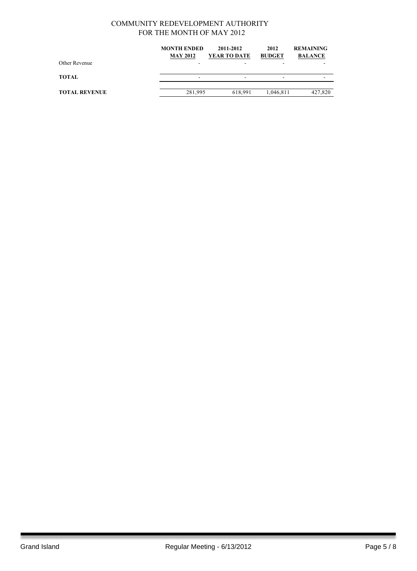|                      | <b>MONTH ENDED</b> | 2011-2012    | 2012          | <b>REMAINING</b> |
|----------------------|--------------------|--------------|---------------|------------------|
|                      | <b>MAY 2012</b>    | YEAR TO DATE | <b>BUDGET</b> | <b>BALANCE</b>   |
| Other Revenue        |                    |              |               |                  |
| TOTAL                |                    | -            | -             |                  |
| <b>TOTAL REVENUE</b> | 281,995            | 618.991      | 1,046,811     | 427,820          |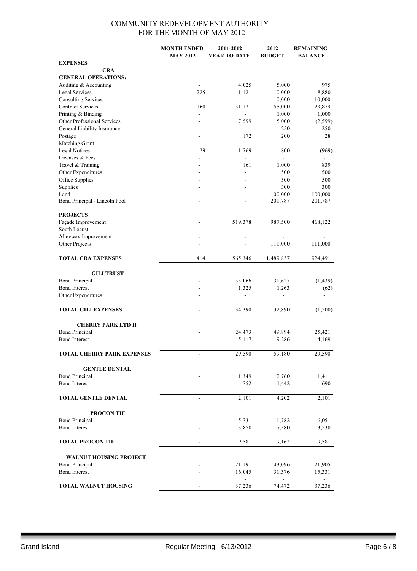|                                   | <b>MONTH ENDED</b>           | 2011-2012                | 2012           | <b>REMAINING</b> |
|-----------------------------------|------------------------------|--------------------------|----------------|------------------|
|                                   | <b>MAY 2012</b>              | <b>YEAR TO DATE</b>      | <b>BUDGET</b>  | <b>BALANCE</b>   |
| <b>EXPENSES</b>                   |                              |                          |                |                  |
| <b>CRA</b>                        |                              |                          |                |                  |
| <b>GENERAL OPERATIONS:</b>        |                              |                          |                |                  |
| Auditing & Accounting             |                              | 4,025                    | 5,000          | 975              |
| Legal Services                    | 225                          | 1,121                    | 10,000         | 8,880            |
| <b>Consulting Services</b>        |                              |                          | 10,000         | 10,000           |
| <b>Contract Services</b>          | 160                          | 31,121                   | 55,000         | 23,879           |
| Printing & Binding                |                              | L.                       | 1,000          | 1,000            |
| Other Professional Services       |                              | 7,599                    | 5,000          | (2, 599)         |
| General Liability Insurance       | ٠                            | $\frac{1}{2}$            | 250            | 250              |
| Postage                           | $\overline{a}$               | 172                      | 200            | 28               |
| Matching Grant                    | $\sim$                       | $\overline{a}$           | $\overline{a}$ | $\blacksquare$   |
| <b>Legal Notices</b>              | 29                           | 1,769                    | 800            | (969)            |
| Licenses & Fees                   |                              | $\overline{\phantom{a}}$ | ä,             |                  |
| Travel & Training                 |                              | 161                      | 1,000          | 839              |
| Other Expenditures                |                              | ä,                       | 500            | 500              |
| Office Supplies                   |                              |                          | 500            | 500              |
| Supplies                          |                              |                          | 300            | 300              |
| Land                              | $\overline{a}$               | $\overline{a}$           | 100,000        | 100,000          |
| Bond Principal - Lincoln Pool     |                              |                          | 201,787        | 201,787          |
| <b>PROJECTS</b>                   |                              |                          |                |                  |
| Façade Improvement                |                              | 519,378                  | 987,500        | 468,122          |
| South Locust                      |                              |                          | $\overline{a}$ |                  |
| Alleyway Improvement              |                              |                          |                |                  |
| Other Projects                    |                              |                          | 111,000        | 111,000          |
|                                   |                              |                          |                |                  |
| <b>TOTAL CRA EXPENSES</b>         | 414                          | 565,346                  | 1,489,837      | 924,491          |
|                                   |                              |                          |                |                  |
| <b>GILI TRUST</b>                 |                              |                          |                |                  |
| <b>Bond Principal</b>             |                              | 33,066                   | 31,627         | (1, 439)         |
| <b>Bond Interest</b>              |                              | 1,325                    | 1,263          | (62)             |
| Other Expenditures                |                              | ä,                       |                |                  |
|                                   |                              |                          |                |                  |
| <b>TOTAL GILI EXPENSES</b>        | $\overline{a}$               | 34,390                   | 32,890         | (1,500)          |
|                                   |                              |                          |                |                  |
| <b>CHERRY PARK LTD II</b>         |                              |                          |                |                  |
| <b>Bond Principal</b>             |                              | 24,473                   | 49,894         | 25,421           |
| <b>Bond Interest</b>              |                              | 5,117                    | 9,286          | 4,169            |
|                                   |                              |                          |                |                  |
| <b>TOTAL CHERRY PARK EXPENSES</b> | $\overline{a}$               | 29,590                   | 59,180         | 29,590           |
|                                   |                              |                          |                |                  |
| <b>GENTLE DENTAL</b>              |                              |                          |                |                  |
| <b>Bond Principal</b>             |                              | 1,349                    | 2,760          | 1,411            |
| <b>Bond Interest</b>              |                              | 752                      | 1,442          | 690              |
|                                   |                              |                          |                |                  |
| TOTAL GENTLE DENTAL               | $\qquad \qquad \blacksquare$ | 2,101                    | 4,202          | 2,101            |
|                                   |                              |                          |                |                  |
| <b>PROCON TIF</b>                 |                              |                          |                |                  |
| <b>Bond Principal</b>             |                              | 5,731                    | 11,782         | 6,051            |
| <b>Bond Interest</b>              |                              | 3,850                    | 7,380          | 3,530            |
|                                   |                              |                          |                |                  |
| <b>TOTAL PROCON TIF</b>           | $\qquad \qquad \blacksquare$ | 9,581                    | 19,162         | 9,581            |
|                                   |                              |                          |                |                  |
| <b>WALNUT HOUSING PROJECT</b>     |                              |                          |                |                  |
| <b>Bond Principal</b>             |                              | 21,191                   | 43,096         | 21,905           |
| <b>Bond Interest</b>              |                              | 16,045                   | 31,376         | 15,331           |
|                                   |                              |                          |                |                  |
| <b>TOTAL WALNUT HOUSING</b>       |                              | 37,236                   | 74,472         | 37,236           |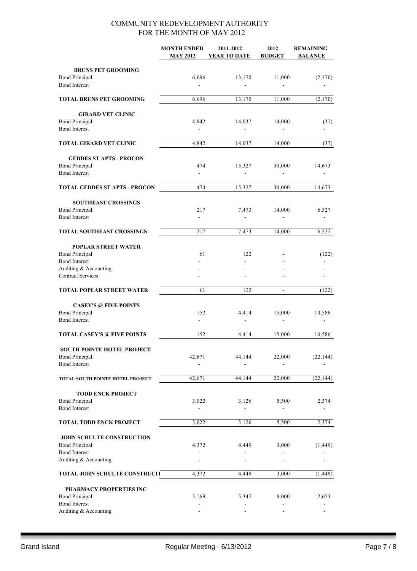|                                                     | <b>MONTH ENDED</b><br><b>MAY 2012</b> | 2011-2012<br>YEAR TO DATE             | 2012<br><b>BUDGET</b>             | <b>REMAINING</b><br><b>BALANCE</b> |
|-----------------------------------------------------|---------------------------------------|---------------------------------------|-----------------------------------|------------------------------------|
| <b>BRUNS PET GROOMING</b>                           |                                       |                                       |                                   |                                    |
| <b>Bond Principal</b><br><b>Bond Interest</b>       | 6,696                                 | 13,170                                | 11,000                            | (2,170)                            |
| TOTAL BRUNS PET GROOMING                            | 6,696                                 | 13,170                                | 11,000                            | (2,170)                            |
| <b>GIRARD VET CLINIC</b>                            |                                       |                                       |                                   |                                    |
| <b>Bond Principal</b><br><b>Bond Interest</b>       | 4,842                                 | 14,037<br>$\blacksquare$              | 14,000                            | (37)                               |
| TOTAL GIRARD VET CLINIC                             | 4,842                                 | 14,037                                | 14,000                            | (37)                               |
| <b>GEDDES ST APTS - PROCON</b>                      |                                       |                                       |                                   |                                    |
| <b>Bond Principal</b><br><b>Bond Interest</b>       | 474<br>$\blacksquare$                 | 15,327<br>÷.                          | 30,000                            | 14,673                             |
|                                                     |                                       |                                       |                                   |                                    |
| TOTAL GEDDES ST APTS - PROCON                       | 474                                   | 15,327                                | 30,000                            | 14,673                             |
| <b>SOUTHEAST CROSSINGS</b><br><b>Bond Principal</b> | 217                                   | 7,473                                 | 14,000                            | 6,527                              |
| <b>Bond Interest</b>                                |                                       | $\blacksquare$                        |                                   |                                    |
| <b>TOTAL SOUTHEAST CROSSINGS</b>                    | 217                                   | 7,473                                 | 14,000                            | 6,527                              |
| <b>POPLAR STREET WATER</b>                          |                                       |                                       |                                   |                                    |
| <b>Bond Principal</b>                               | 61                                    | 122                                   |                                   | (122)                              |
| <b>Bond Interest</b><br>Auditing & Accounting       |                                       |                                       |                                   |                                    |
| <b>Contract Services</b>                            |                                       |                                       |                                   |                                    |
| <b>TOTAL POPLAR STREET WATER</b>                    | 61                                    | 122                                   |                                   | (122)                              |
| <b>CASEY'S @ FIVE POINTS</b>                        |                                       |                                       |                                   |                                    |
| <b>Bond Principal</b><br><b>Bond Interest</b>       | 152<br>÷,                             | 4,414                                 | 15,000                            | 10,586                             |
| <b>TOTAL CASEY'S @ FIVE POINTS</b>                  | 152                                   | 4.414                                 | 15,000                            | 10,586                             |
| SOUTH POINTE HOTEL PROJECT                          |                                       |                                       |                                   |                                    |
| <b>Bond Principal</b>                               | 42,671                                | 44,144                                | 22,000                            | (22, 144)                          |
| <b>Bond Interest</b>                                |                                       |                                       |                                   |                                    |
| TOTAL SOUTH POINTE HOTEL PROJECT                    | 42,671                                | 44,144                                | 22,000                            | (22, 144)                          |
| <b>TODD ENCK PROJECT</b>                            |                                       |                                       |                                   |                                    |
| <b>Bond Principal</b><br><b>Bond Interest</b>       | 3,022                                 | 3,126                                 | 5,500                             | 2,374                              |
| <b>TOTAL TODD ENCK PROJECT</b>                      | 3,022                                 | 3,126                                 | 5,500                             | 2,374                              |
| JOHN SCHULTE CONSTRUCTION                           |                                       |                                       |                                   |                                    |
| <b>Bond Principal</b><br><b>Bond Interest</b>       | 4,372                                 | 4,449<br>$\qquad \qquad \blacksquare$ | 3,000<br>$\overline{\phantom{0}}$ | (1, 449)                           |
| Auditing & Accounting                               |                                       |                                       |                                   |                                    |
| TOTAL JOHN SCHULTE CONSTRUCIT                       | 4,372                                 | 4,449                                 | 3,000                             | (1, 449)                           |
| PHARMACY PROPERTIES INC                             |                                       |                                       |                                   |                                    |
| <b>Bond Principal</b>                               | 5,169                                 | 5,347                                 | 8,000                             | 2,653                              |
| <b>Bond Interest</b><br>Auditing & Accounting       |                                       |                                       |                                   |                                    |